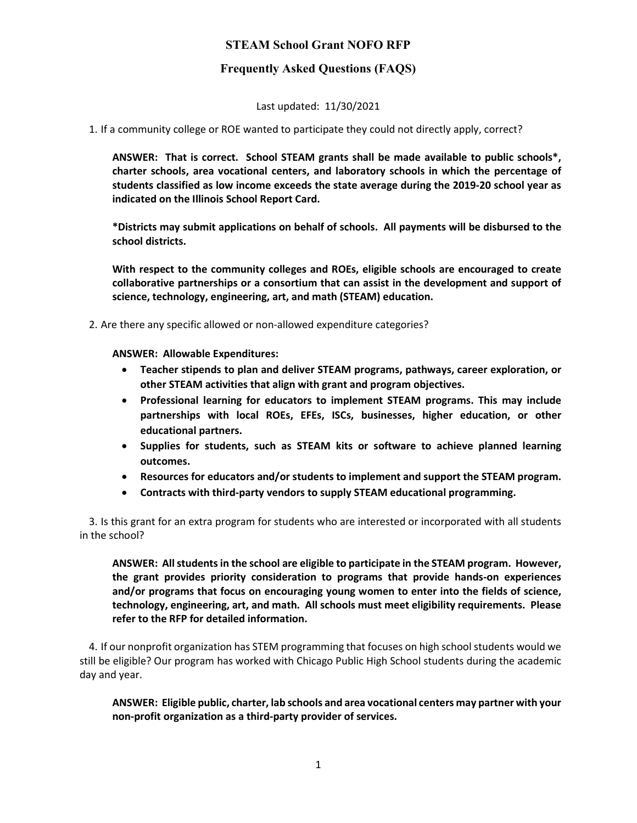# STEAM School Grant NOFO RFP

# Frequently Asked Questions (FAQS)

Last updated: 11/30/2021

1. If a community college or ROE wanted to participate they could not directly apply, correct?

ANSWER: That is correct. School STEAM grants shall be made available to public schools\*, charter schools, area vocational centers, and laboratory schools in which the percentage of students classified as low income exceeds the state average during the 2019-20 school year as indicated on the Illinois School Report Card.

\*Districts may submit applications on behalf of schools. All payments will be disbursed to the school districts.

With respect to the community colleges and ROEs, eligible schools are encouraged to create collaborative partnerships or a consortium that can assist in the development and support of science, technology, engineering, art, and math (STEAM) education.

2. Are there any specific allowed or non-allowed expenditure categories?

ANSWER: Allowable Expenditures:

- Teacher stipends to plan and deliver STEAM programs, pathways, career exploration, or other STEAM activities that align with grant and program objectives.
- Professional learning for educators to implement STEAM programs. This may include partnerships with local ROEs, EFEs, ISCs, businesses, higher education, or other educational partners.
- Supplies for students, such as STEAM kits or software to achieve planned learning outcomes.
- Resources for educators and/or students to implement and support the STEAM program.
- Contracts with third-party vendors to supply STEAM educational programming.

3. Is this grant for an extra program for students who are interested or incorporated with all students in the school?

ANSWER: All students in the school are eligible to participate in the STEAM program. However, the grant provides priority consideration to programs that provide hands-on experiences and/or programs that focus on encouraging young women to enter into the fields of science, technology, engineering, art, and math. All schools must meet eligibility requirements. Please refer to the RFP for detailed information.

4. If our nonprofit organization has STEM programming that focuses on high school students would we still be eligible? Our program has worked with Chicago Public High School students during the academic day and year.

ANSWER: Eligible public, charter, lab schools and area vocational centers may partner with your non-profit organization as a third-party provider of services.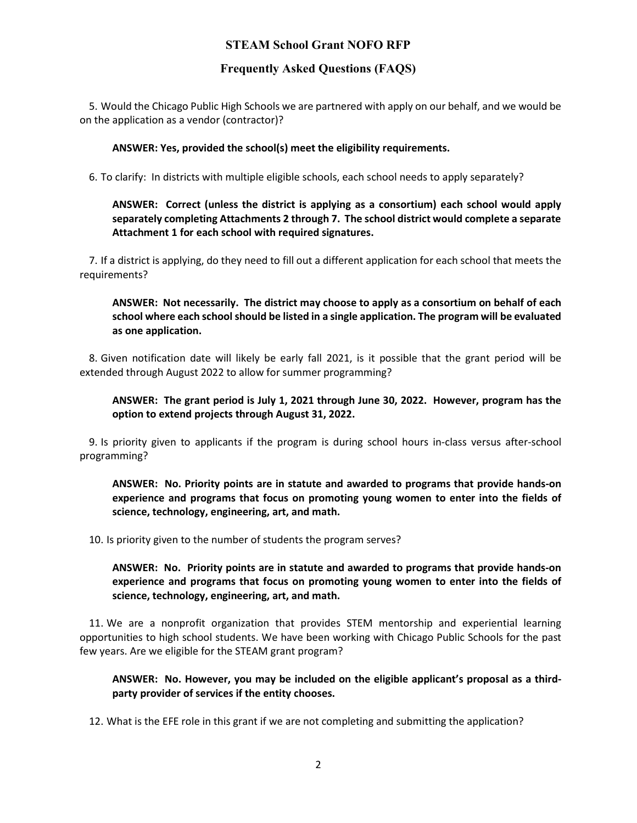# STEAM School Grant NOFO RFP

## Frequently Asked Questions (FAQS)

5. Would the Chicago Public High Schools we are partnered with apply on our behalf, and we would be on the application as a vendor (contractor)?

#### ANSWER: Yes, provided the school(s) meet the eligibility requirements.

6. To clarify: In districts with multiple eligible schools, each school needs to apply separately?

### ANSWER: Correct (unless the district is applying as a consortium) each school would apply separately completing Attachments 2 through 7. The school district would complete a separate Attachment 1 for each school with required signatures.

7. If a district is applying, do they need to fill out a different application for each school that meets the requirements?

### ANSWER: Not necessarily. The district may choose to apply as a consortium on behalf of each school where each school should be listed in a single application. The program will be evaluated as one application.

8. Given notification date will likely be early fall 2021, is it possible that the grant period will be extended through August 2022 to allow for summer programming?

### ANSWER: The grant period is July 1, 2021 through June 30, 2022. However, program has the option to extend projects through August 31, 2022.

9. Is priority given to applicants if the program is during school hours in-class versus after-school programming?

ANSWER: No. Priority points are in statute and awarded to programs that provide hands-on experience and programs that focus on promoting young women to enter into the fields of science, technology, engineering, art, and math.

10. Is priority given to the number of students the program serves?

### ANSWER: No. Priority points are in statute and awarded to programs that provide hands-on experience and programs that focus on promoting young women to enter into the fields of science, technology, engineering, art, and math.

11. We are a nonprofit organization that provides STEM mentorship and experiential learning opportunities to high school students. We have been working with Chicago Public Schools for the past few years. Are we eligible for the STEAM grant program?

### ANSWER: No. However, you may be included on the eligible applicant's proposal as a thirdparty provider of services if the entity chooses.

12. What is the EFE role in this grant if we are not completing and submitting the application?